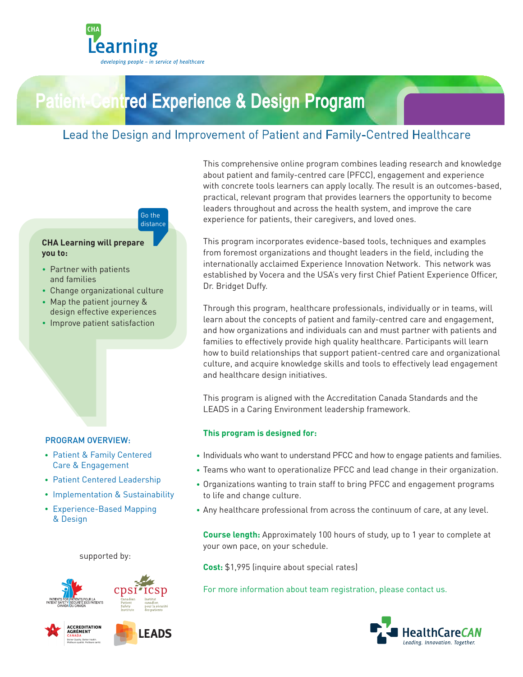

# Patient-Centred Experience & Design Program

## Lead the Design and Improvement of Patient and Family-Centred Healthcare



#### **CHA Learning will prepare you to:**

- Partner with patients and families
- Change organizational culture
- Map the patient journey & design effective experiences
- Improve patient satisfaction

#### PROGRAM OVERVIEW:

- Patient & Family Centered Care & Engagement
- Patient Centered Leadership
- Implementation & Sustainability
- Experience-Based Mapping & Design

supported by:







This comprehensive online program combines leading research and knowledge about patient and family-centred care (PFCC), engagement and experience with concrete tools learners can apply locally. The result is an outcomes-based, practical, relevant program that provides learners the opportunity to become leaders throughout and across the health system, and improve the care experience for patients, their caregivers, and loved ones.

This program incorporates evidence-based tools, techniques and examples from foremost organizations and thought leaders in the field, including the internationally acclaimed Experience Innovation Network. This network was established by Vocera and the USA's very first Chief Patient Experience Officer, Dr. Bridget Duffy.

Through this program, healthcare professionals, individually or in teams, will learn about the concepts of patient and family-centred care and engagement, and how organizations and individuals can and must partner with patients and families to effectively provide high quality healthcare. Participants will learn how to build relationships that support patient-centred care and organizational culture, and acquire knowledge skills and tools to effectively lead engagement and healthcare design initiatives.

This program is aligned with the Accreditation Canada Standards and the LEADS in a Caring Environment leadership framework.

#### **This program is designed for:**

- Individuals who want to understand PFCC and how to engage patients and families.
- Teams who want to operationalize PFCC and lead change in their organization.
- Organizations wanting to train staff to bring PFCC and engagement programs to life and change culture.
- Any healthcare professional from across the continuum of care, at any level.

**Course length:** Approximately 100 hours of study, up to 1 year to complete at your own pace, on your schedule.

**Cost:** \$1,995 (inquire about special rates)

For more information about team registration, please contact us.